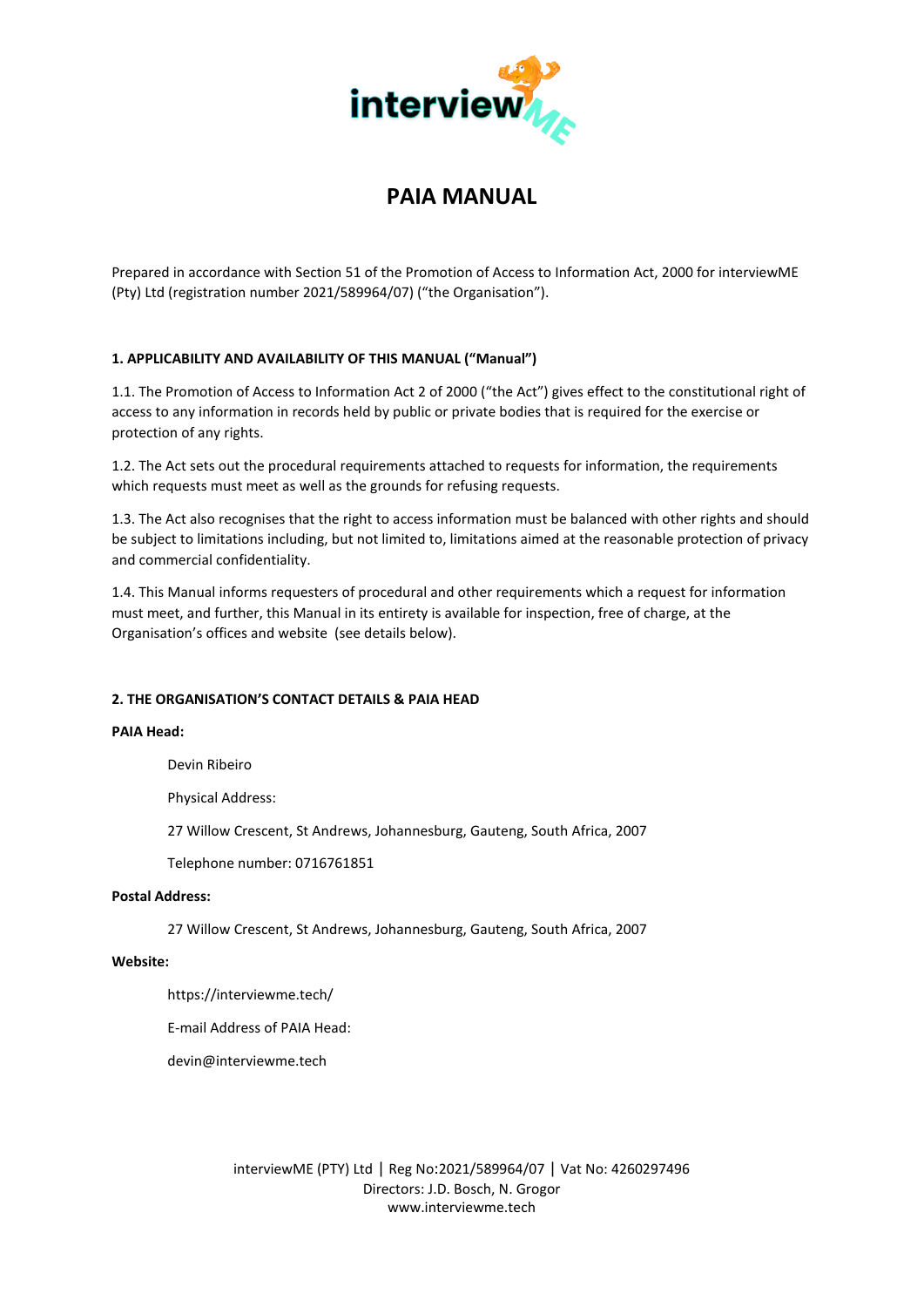

# **PAIA MANUAL**

Prepared in accordance with Section 51 of the Promotion of Access to Information Act, 2000 for interviewME (Pty) Ltd (registration number 2021/589964/07) ("the Organisation").

# **1. APPLICABILITY AND AVAILABILITY OF THIS MANUAL ("Manual")**

1.1. The Promotion of Access to Information Act 2 of 2000 ("the Act") gives effect to the constitutional right of access to any information in records held by public or private bodies that is required for the exercise or protection of any rights.

1.2. The Act sets out the procedural requirements attached to requests for information, the requirements which requests must meet as well as the grounds for refusing requests.

1.3. The Act also recognises that the right to access information must be balanced with other rights and should be subject to limitations including, but not limited to, limitations aimed at the reasonable protection of privacy and commercial confidentiality.

1.4. This Manual informs requesters of procedural and other requirements which a request for information must meet, and further, this Manual in its entirety is available for inspection, free of charge, at the Organisation's offices and website (see details below).

# **2. THE ORGANISATION'S CONTACT DETAILS & PAIA HEAD**

# **PAIA Head:**

Devin Ribeiro

Physical Address:

27 Willow Crescent, St Andrews, Johannesburg, Gauteng, South Africa, 2007

Telephone number: 0716761851

#### **Postal Address:**

27 Willow Crescent, St Andrews, Johannesburg, Gauteng, South Africa, 2007

#### **Website:**

https://interviewme.tech/

E-mail Address of PAIA Head:

devin@interviewme.tech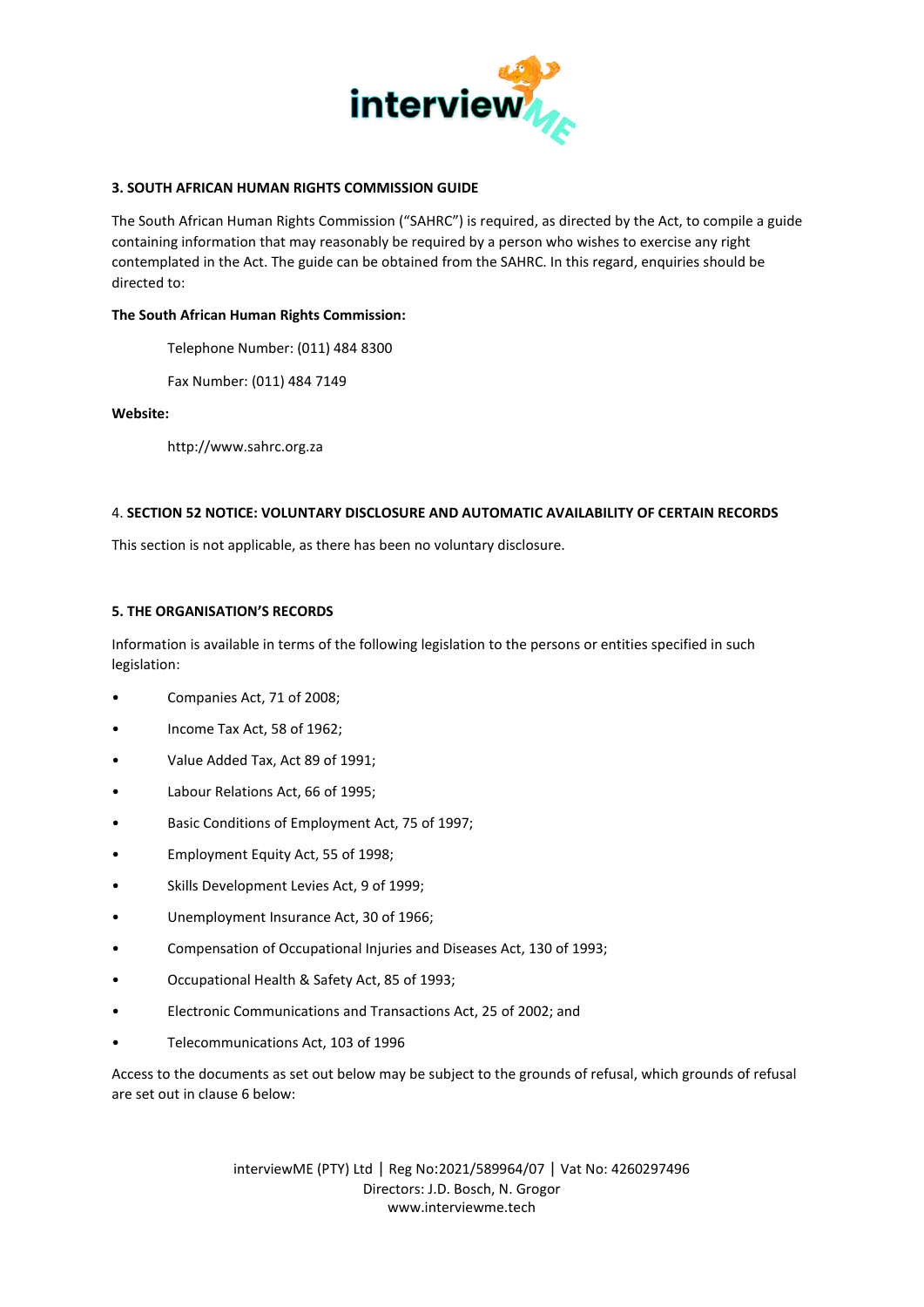

# **3. SOUTH AFRICAN HUMAN RIGHTS COMMISSION GUIDE**

The South African Human Rights Commission ("SAHRC") is required, as directed by the Act, to compile a guide containing information that may reasonably be required by a person who wishes to exercise any right contemplated in the Act. The guide can be obtained from the SAHRC. In this regard, enquiries should be directed to:

#### **The South African Human Rights Commission:**

Telephone Number: (011) 484 8300

Fax Number: (011) 484 7149

#### **Website:**

http://www.sahrc.org.za

#### 4. **SECTION 52 NOTICE: VOLUNTARY DISCLOSURE AND AUTOMATIC AVAILABILITY OF CERTAIN RECORDS**

This section is not applicable, as there has been no voluntary disclosure.

#### **5. THE ORGANISATION'S RECORDS**

Information is available in terms of the following legislation to the persons or entities specified in such legislation:

- Companies Act, 71 of 2008;
- Income Tax Act, 58 of 1962;
- Value Added Tax, Act 89 of 1991;
- Labour Relations Act, 66 of 1995;
- Basic Conditions of Employment Act, 75 of 1997;
- Employment Equity Act, 55 of 1998;
- Skills Development Levies Act, 9 of 1999;
- Unemployment Insurance Act, 30 of 1966;
- Compensation of Occupational Injuries and Diseases Act, 130 of 1993;
- Occupational Health & Safety Act, 85 of 1993;
- Electronic Communications and Transactions Act, 25 of 2002; and
- Telecommunications Act, 103 of 1996

Access to the documents as set out below may be subject to the grounds of refusal, which grounds of refusal are set out in clause 6 below: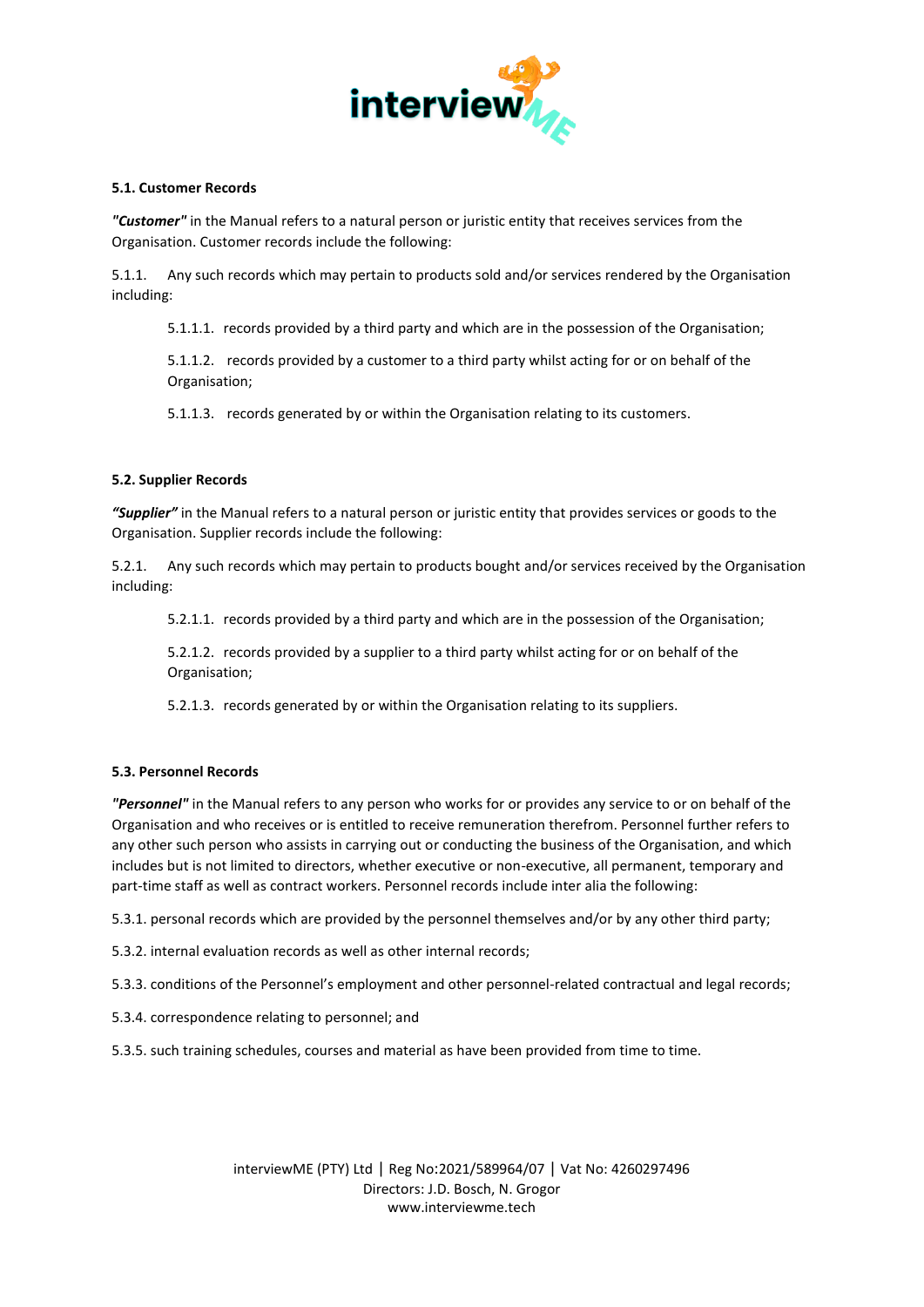

# **5.1. Customer Records**

*"Customer"* in the Manual refers to a natural person or juristic entity that receives services from the Organisation. Customer records include the following:

5.1.1. Any such records which may pertain to products sold and/or services rendered by the Organisation including:

5.1.1.1. records provided by a third party and which are in the possession of the Organisation;

5.1.1.2. records provided by a customer to a third party whilst acting for or on behalf of the Organisation;

5.1.1.3. records generated by or within the Organisation relating to its customers.

# **5.2. Supplier Records**

*"Supplier"* in the Manual refers to a natural person or juristic entity that provides services or goods to the Organisation. Supplier records include the following:

5.2.1. Any such records which may pertain to products bought and/or services received by the Organisation including:

5.2.1.1. records provided by a third party and which are in the possession of the Organisation;

5.2.1.2. records provided by a supplier to a third party whilst acting for or on behalf of the Organisation;

5.2.1.3. records generated by or within the Organisation relating to its suppliers.

# **5.3. Personnel Records**

*"Personnel"* in the Manual refers to any person who works for or provides any service to or on behalf of the Organisation and who receives or is entitled to receive remuneration therefrom. Personnel further refers to any other such person who assists in carrying out or conducting the business of the Organisation, and which includes but is not limited to directors, whether executive or non-executive, all permanent, temporary and part-time staff as well as contract workers. Personnel records include inter alia the following:

5.3.1. personal records which are provided by the personnel themselves and/or by any other third party;

- 5.3.2. internal evaluation records as well as other internal records;
- 5.3.3. conditions of the Personnel's employment and other personnel-related contractual and legal records;
- 5.3.4. correspondence relating to personnel; and

5.3.5. such training schedules, courses and material as have been provided from time to time.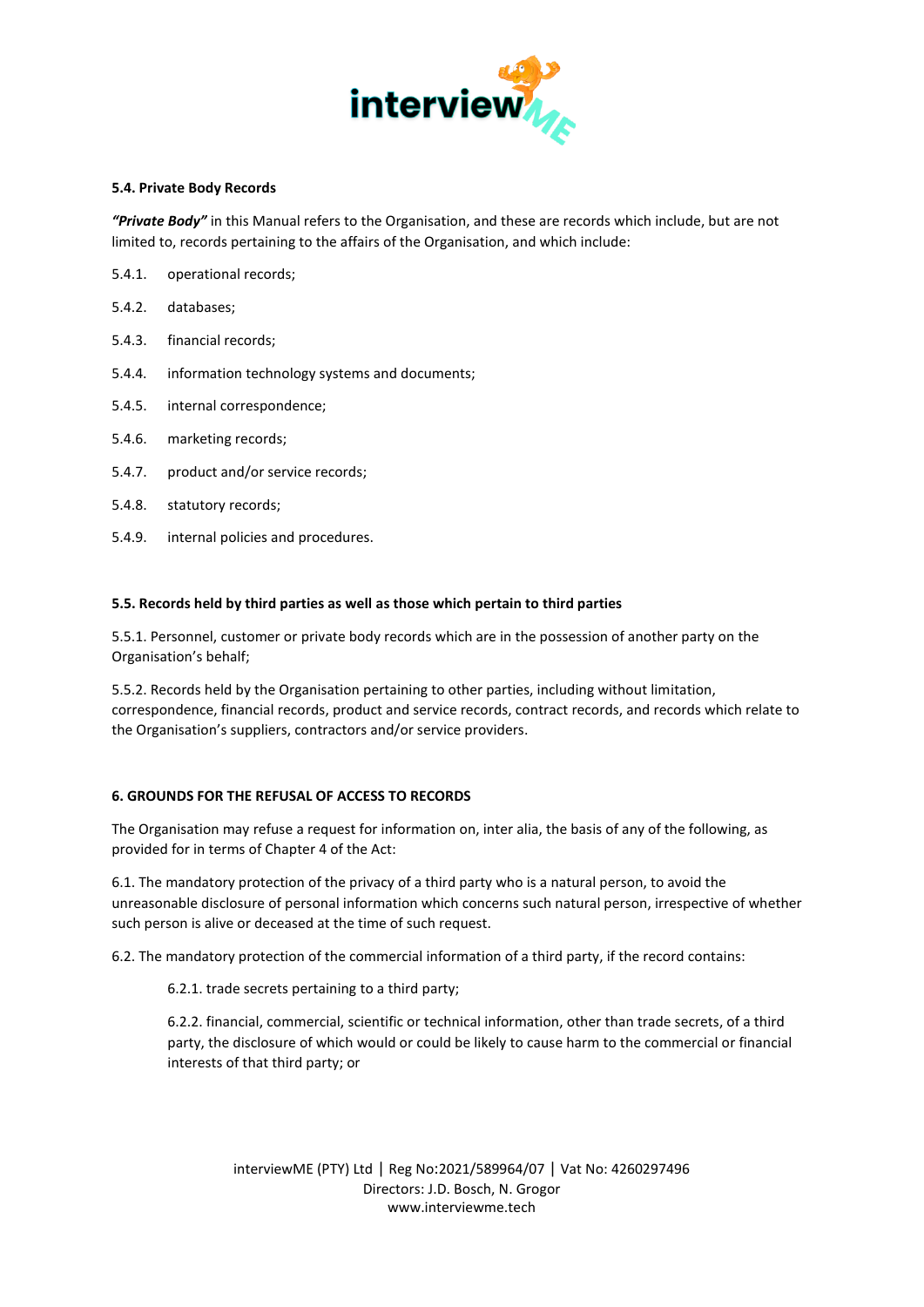

# **5.4. Private Body Records**

*"Private Body"* in this Manual refers to the Organisation, and these are records which include, but are not limited to, records pertaining to the affairs of the Organisation, and which include:

- 5.4.1. operational records;
- 5.4.2. databases;
- 5.4.3. financial records;
- 5.4.4. information technology systems and documents;
- 5.4.5. internal correspondence;
- 5.4.6. marketing records;
- 5.4.7. product and/or service records;
- 5.4.8. statutory records;
- 5.4.9. internal policies and procedures.

# **5.5. Records held by third parties as well as those which pertain to third parties**

5.5.1. Personnel, customer or private body records which are in the possession of another party on the Organisation's behalf;

5.5.2. Records held by the Organisation pertaining to other parties, including without limitation, correspondence, financial records, product and service records, contract records, and records which relate to the Organisation's suppliers, contractors and/or service providers.

# **6. GROUNDS FOR THE REFUSAL OF ACCESS TO RECORDS**

The Organisation may refuse a request for information on, inter alia, the basis of any of the following, as provided for in terms of Chapter 4 of the Act:

6.1. The mandatory protection of the privacy of a third party who is a natural person, to avoid the unreasonable disclosure of personal information which concerns such natural person, irrespective of whether such person is alive or deceased at the time of such request.

6.2. The mandatory protection of the commercial information of a third party, if the record contains:

6.2.1. trade secrets pertaining to a third party;

6.2.2. financial, commercial, scientific or technical information, other than trade secrets, of a third party, the disclosure of which would or could be likely to cause harm to the commercial or financial interests of that third party; or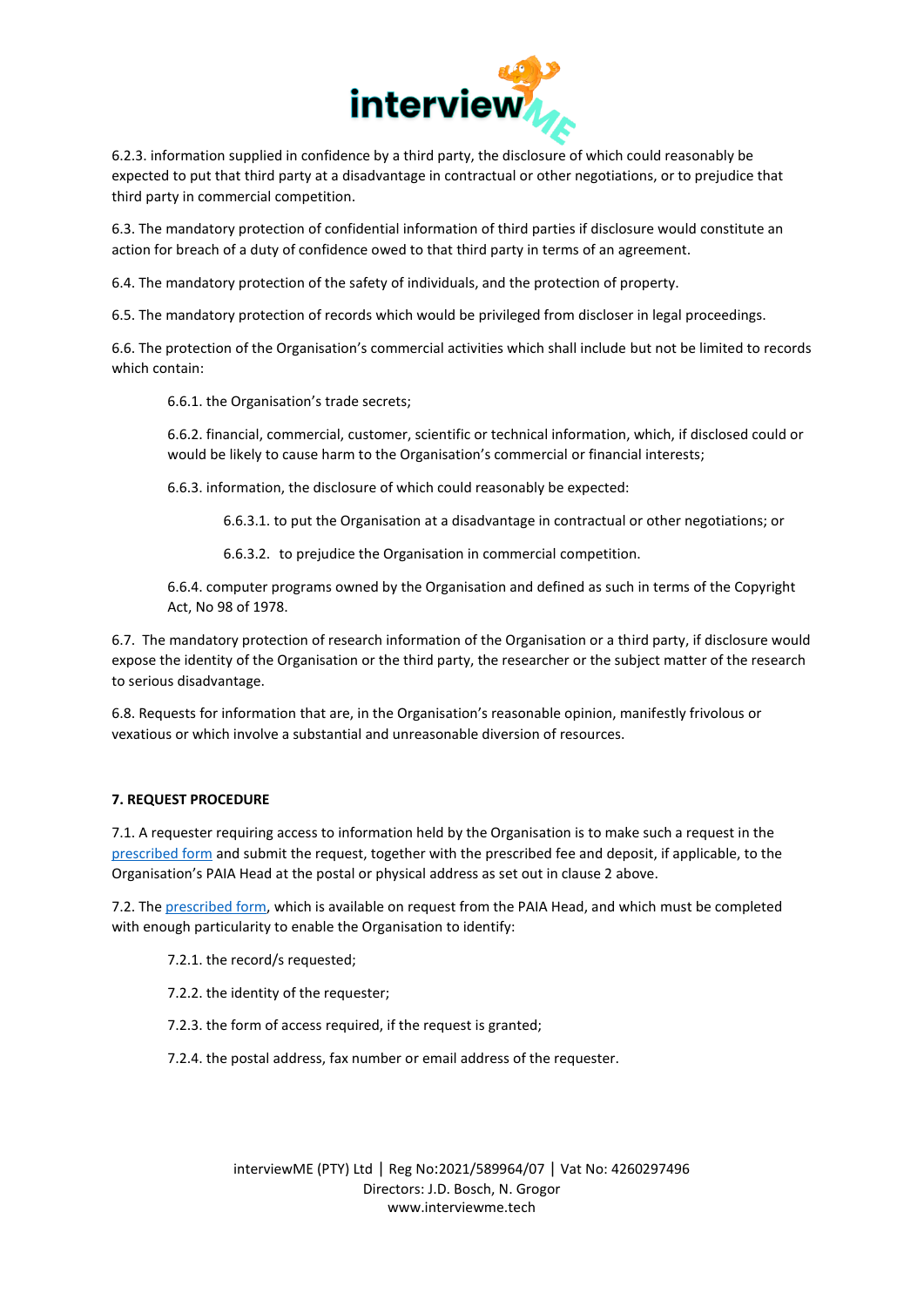

6.2.3. information supplied in confidence by a third party, the disclosure of which could reasonably be expected to put that third party at a disadvantage in contractual or other negotiations, or to prejudice that third party in commercial competition.

6.3. The mandatory protection of confidential information of third parties if disclosure would constitute an action for breach of a duty of confidence owed to that third party in terms of an agreement.

6.4. The mandatory protection of the safety of individuals, and the protection of property.

6.5. The mandatory protection of records which would be privileged from discloser in legal proceedings.

6.6. The protection of the Organisation's commercial activities which shall include but not be limited to records which contain:

6.6.1. the Organisation's trade secrets;

6.6.2. financial, commercial, customer, scientific or technical information, which, if disclosed could or would be likely to cause harm to the Organisation's commercial or financial interests;

6.6.3. information, the disclosure of which could reasonably be expected:

6.6.3.1. to put the Organisation at a disadvantage in contractual or other negotiations; or

6.6.3.2. to prejudice the Organisation in commercial competition.

6.6.4. computer programs owned by the Organisation and defined as such in terms of the Copyright Act, No 98 of 1978.

6.7. The mandatory protection of research information of the Organisation or a third party, if disclosure would expose the identity of the Organisation or the third party, the researcher or the subject matter of the research to serious disadvantage.

6.8. Requests for information that are, in the Organisation's reasonable opinion, manifestly frivolous or vexatious or which involve a substantial and unreasonable diversion of resources.

# **7. REQUEST PROCEDURE**

7.1. A requester requiring access to information held by the Organisation is to make such a request in the [prescribed form](https://interviewme.tech/interviewme-paia-record-request-form/) and submit the request, together with the prescribed fee and deposit, if applicable, to the Organisation's PAIA Head at the postal or physical address as set out in clause 2 above.

7.2. The [prescribed form,](https://interviewme.tech/interviewme-paia-record-request-form/) which is available on request from the PAIA Head, and which must be completed with enough particularity to enable the Organisation to identify:

- 7.2.1. the record/s requested;
- 7.2.2. the identity of the requester;
- 7.2.3. the form of access required, if the request is granted;
- 7.2.4. the postal address, fax number or email address of the requester.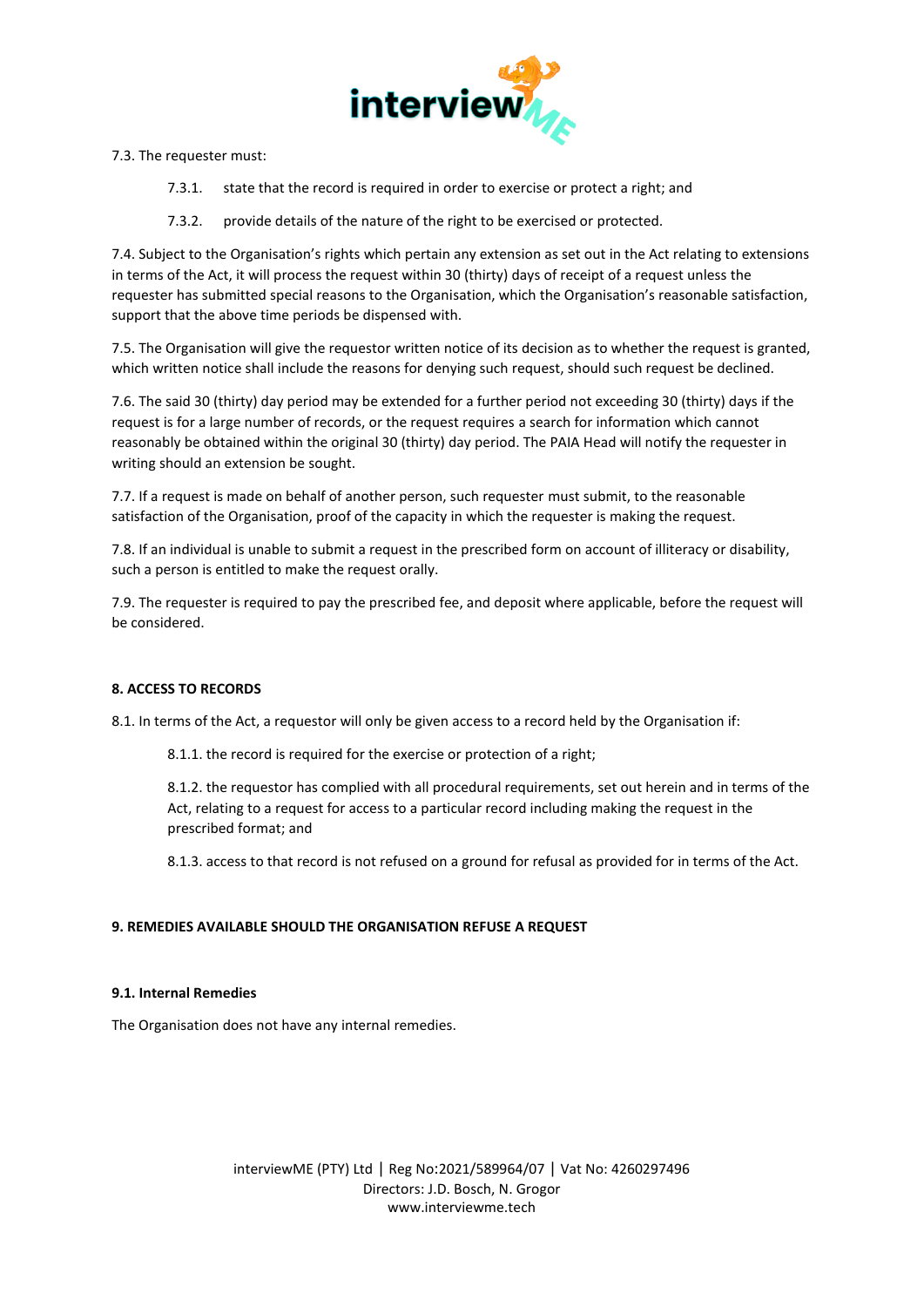

7.3. The requester must:

7.3.1. state that the record is required in order to exercise or protect a right; and

7.3.2. provide details of the nature of the right to be exercised or protected.

7.4. Subject to the Organisation's rights which pertain any extension as set out in the Act relating to extensions in terms of the Act, it will process the request within 30 (thirty) days of receipt of a request unless the requester has submitted special reasons to the Organisation, which the Organisation's reasonable satisfaction, support that the above time periods be dispensed with.

7.5. The Organisation will give the requestor written notice of its decision as to whether the request is granted, which written notice shall include the reasons for denying such request, should such request be declined.

7.6. The said 30 (thirty) day period may be extended for a further period not exceeding 30 (thirty) days if the request is for a large number of records, or the request requires a search for information which cannot reasonably be obtained within the original 30 (thirty) day period. The PAIA Head will notify the requester in writing should an extension be sought.

7.7. If a request is made on behalf of another person, such requester must submit, to the reasonable satisfaction of the Organisation, proof of the capacity in which the requester is making the request.

7.8. If an individual is unable to submit a request in the prescribed form on account of illiteracy or disability, such a person is entitled to make the request orally.

7.9. The requester is required to pay the prescribed fee, and deposit where applicable, before the request will be considered.

# **8. ACCESS TO RECORDS**

8.1. In terms of the Act, a requestor will only be given access to a record held by the Organisation if:

8.1.1. the record is required for the exercise or protection of a right;

8.1.2. the requestor has complied with all procedural requirements, set out herein and in terms of the Act, relating to a request for access to a particular record including making the request in the prescribed format; and

8.1.3. access to that record is not refused on a ground for refusal as provided for in terms of the Act.

# **9. REMEDIES AVAILABLE SHOULD THE ORGANISATION REFUSE A REQUEST**

# **9.1. Internal Remedies**

The Organisation does not have any internal remedies.